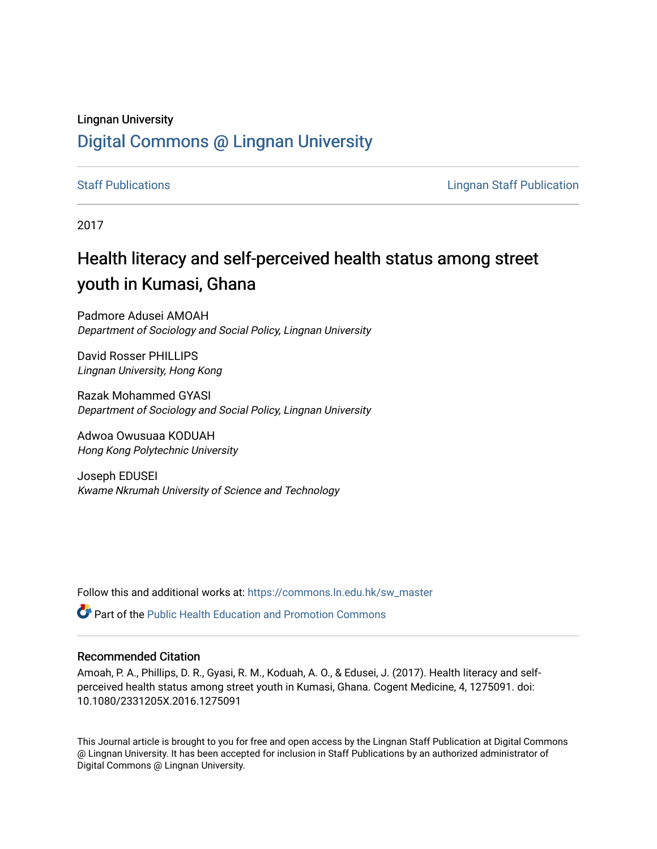# Lingnan University [Digital Commons @ Lingnan University](https://commons.ln.edu.hk/)

[Staff Publications](https://commons.ln.edu.hk/sw_master) **Staff Publications Lingnan Staff Publication** 

2017

# Health literacy and self-perceived health status among street youth in Kumasi, Ghana

Padmore Adusei AMOAH Department of Sociology and Social Policy, Lingnan University

David Rosser PHILLIPS Lingnan University, Hong Kong

Razak Mohammed GYASI Department of Sociology and Social Policy, Lingnan University

Adwoa Owusuaa KODUAH Hong Kong Polytechnic University

Joseph EDUSEI Kwame Nkrumah University of Science and Technology

Follow this and additional works at: [https://commons.ln.edu.hk/sw\\_master](https://commons.ln.edu.hk/sw_master?utm_source=commons.ln.edu.hk%2Fsw_master%2F5234&utm_medium=PDF&utm_campaign=PDFCoverPages) 

 $\bullet$  Part of the Public Health Education and Promotion Commons

# Recommended Citation

Amoah, P. A., Phillips, D. R., Gyasi, R. M., Koduah, A. O., & Edusei, J. (2017). Health literacy and selfperceived health status among street youth in Kumasi, Ghana. Cogent Medicine, 4, 1275091. doi: 10.1080/2331205X.2016.1275091

This Journal article is brought to you for free and open access by the Lingnan Staff Publication at Digital Commons @ Lingnan University. It has been accepted for inclusion in Staff Publications by an authorized administrator of Digital Commons @ Lingnan University.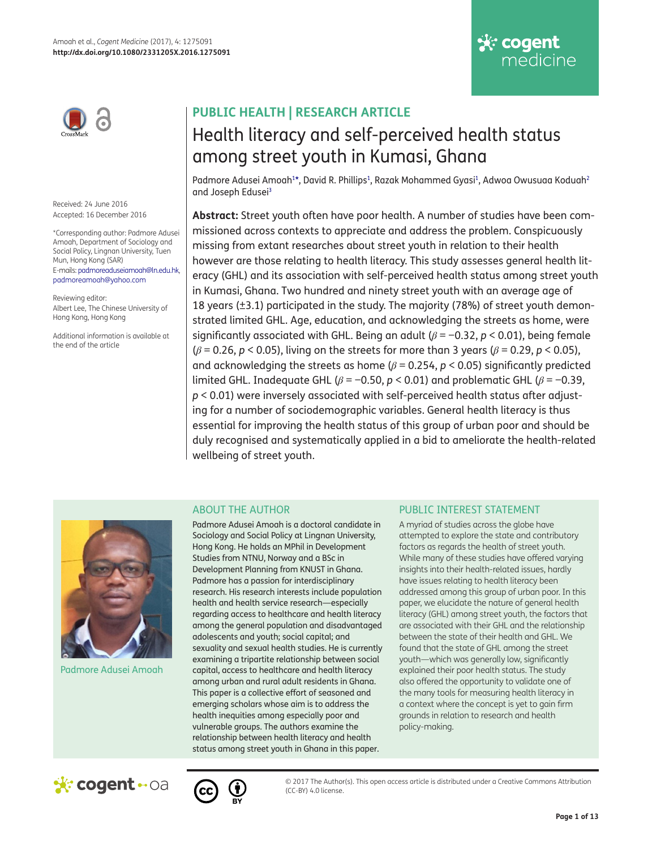

Received: 24 June 2016 Accepted: 16 December 2016

<span id="page-1-0"></span>\*Corresponding author: Padmore Adusei Amoah, Department of Sociology and Social Policy, Lingnan University, Tuen Mun, Hong Kong (SAR) E-mails: [padmoreaduseiamoah@ln.edu.hk](mailto:padmoreaduseiamoah@ln.edu.hk), [padmoreamoah@yahoo.com](mailto:padmoreamoah@yahoo.com)

Reviewing editor: Albert Lee, The Chinese University of Hong Kong, Hong Kong

Additional information is available at the end of the article

# **PUBLIC HEALTH | RESEARCH ARTICLE** Health literacy and self-perceived health status among street youth in Kumasi, Ghana

<span id="page-1-1"></span>Padmore Adusei Amoah<sup>1[\\*](#page-1-0)</sup>, David R. Phillips<sup>1</sup>, Razak Mohammed Gyasi<sup>1</sup>, Adwoa Owusuaa Koduah<sup>2</sup> and Joseph Edusei<sup>3</sup>

**Abstract:** Street youth often have poor health. A number of studies have been commissioned across contexts to appreciate and address the problem. Conspicuously missing from extant researches about street youth in relation to their health however are those relating to health literacy. This study assesses general health literacy (GHL) and its association with self-perceived health status among street youth in Kumasi, Ghana. Two hundred and ninety street youth with an average age of 18 years (±3.1) participated in the study. The majority (78%) of street youth demonstrated limited GHL. Age, education, and acknowledging the streets as home, were significantly associated with GHL. Being an adult (*β* = −0.32, *p* < 0.01), being female (*β* = 0.26, *p* < 0.05), living on the streets for more than 3 years (*β* = 0.29, *p* < 0.05), and acknowledging the streets as home (*β* = 0.254, *p* < 0.05) significantly predicted limited GHL. Inadequate GHL (*β* = −0.50, *p* < 0.01) and problematic GHL (*β* = −0.39, *p* < 0.01) were inversely associated with self-perceived health status after adjusting for a number of sociodemographic variables. General health literacy is thus essential for improving the health status of this group of urban poor and should be duly recognised and systematically applied in a bid to ameliorate the health-related wellbeing of street youth.

# ABOUT THE AUTHOR

Padmore Adusei Amoah

Padmore Adusei Amoah is a doctoral candidate in Sociology and Social Policy at Lingnan University, Hong Kong. He holds an MPhil in Development Studies from NTNU, Norway and a BSc in Development Planning from KNUST in Ghana. Padmore has a passion for interdisciplinary research. His research interests include population health and health service research—especially regarding access to healthcare and health literacy among the general population and disadvantaged adolescents and youth; social capital; and sexuality and sexual health studies. He is currently examining a tripartite relationship between social capital, access to healthcare and health literacy among urban and rural adult residents in Ghana. This paper is a collective effort of seasoned and emerging scholars whose aim is to address the health inequities among especially poor and vulnerable groups. The authors examine the relationship between health literacy and health status among street youth in Ghana in this paper.

# PUBLIC INTEREST STATEMENT

A myriad of studies across the globe have attempted to explore the state and contributory factors as regards the health of street youth. While many of these studies have offered varying insights into their health-related issues, hardly have issues relating to health literacy been addressed among this group of urban poor. In this paper, we elucidate the nature of general health literacy (GHL) among street youth, the factors that are associated with their GHL and the relationship between the state of their health and GHL. We found that the state of GHL among the street youth—which was generally low, significantly explained their poor health status. The study also offered the opportunity to validate one of the many tools for measuring health literacy in a context where the concept is yet to gain firm grounds in relation to research and health policy-making.

**ু** cogent

medicine





© 2017 The Author(s). This open access article is distributed under a Creative Commons Attribution (CC-BY) 4.0 license.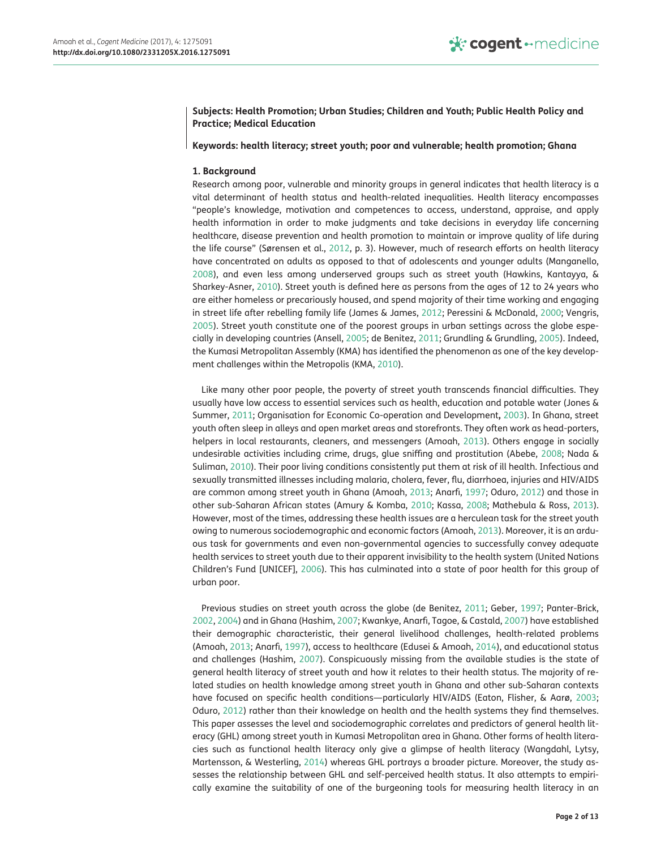# **Subjects: Health Promotion; Urban Studies; Children and Youth; Public Health Policy and Practice; Medical Education**

**Keywords: health literacy; street youth; poor and vulnerable; health promotion; Ghana**

### **1. Background**

<span id="page-2-25"></span><span id="page-2-17"></span><span id="page-2-11"></span>Research among poor, vulnerable and minority groups in general indicates that health literacy is a vital determinant of health status and health-related inequalities. Health literacy encompasses "people's knowledge, motivation and competences to access, understand, appraise, and apply health information in order to make judgments and take decisions in everyday life concerning healthcare, disease prevention and health promotion to maintain or improve quality of life during the life course" (Sørensen et al., [2012,](#page-13-0) p. 3). However, much of research efforts on health literacy have concentrated on adults as opposed to that of adolescents and younger adults (Manganello, [2008](#page-12-0)), and even less among underserved groups such as street youth (Hawkins, Kantayya, & Sharkey-Asner, [2010](#page-12-1)). Street youth is defined here as persons from the ages of 12 to 24 years who are either homeless or precariously housed, and spend majority of their time working and engaging in street life after rebelling family life (James & James, [2012](#page-12-2); Peressini & McDonald, [2000;](#page-13-1) Vengris, [2005](#page-13-2)). Street youth constitute one of the poorest groups in urban settings across the globe especially in developing countries (Ansell, [2005;](#page-12-3) de Benitez, [2011;](#page-12-4) Grundling & Grundling, [2005](#page-12-5)). Indeed, the Kumasi Metropolitan Assembly (KMA) has identified the phenomenon as one of the key development challenges within the Metropolis (KMA, [2010](#page-12-6)).

<span id="page-2-27"></span><span id="page-2-24"></span><span id="page-2-21"></span><span id="page-2-20"></span><span id="page-2-19"></span><span id="page-2-15"></span><span id="page-2-13"></span><span id="page-2-12"></span><span id="page-2-9"></span><span id="page-2-5"></span><span id="page-2-4"></span><span id="page-2-3"></span><span id="page-2-1"></span><span id="page-2-0"></span>Like many other poor people, the poverty of street youth transcends financial difficulties. They usually have low access to essential services such as health, education and potable water (Jones & Summer, [2011](#page-12-7); Organisation for Economic Co-operation and Development**,** [2003](#page-13-3)). In Ghana, street youth often sleep in alleys and open market areas and storefronts. They often work as head-porters, helpers in local restaurants, cleaners, and messengers (Amoah, [2013\)](#page-11-3). Others engage in socially undesirable activities including crime, drugs, glue sniffing and prostitution (Abebe, [2008](#page-11-4); Nada & Suliman, [2010\)](#page-13-4). Their poor living conditions consistently put them at risk of ill health. Infectious and sexually transmitted illnesses including malaria, cholera, fever, flu, diarrhoea, injuries and HIV/AIDS are common among street youth in Ghana (Amoah, [2013;](#page-11-3) Anarfi, [1997](#page-12-8); Oduro, [2012](#page-13-5)) and those in other sub-Saharan African states (Amury & Komba, [2010;](#page-12-9) Kassa, [2008](#page-12-10); Mathebula & Ross, [2013](#page-13-6)). However, most of the times, addressing these health issues are a herculean task for the street youth owing to numerous sociodemographic and economic factors (Amoah, [2013](#page-11-3)). Moreover, it is an arduous task for governments and even non-governmental agencies to successfully convey adequate health services to street youth due to their apparent invisibility to the health system (United Nations Children's Fund [UNICEF], [2006\)](#page-13-7). This has culminated into a state of poor health for this group of urban poor.

<span id="page-2-28"></span><span id="page-2-26"></span><span id="page-2-23"></span><span id="page-2-22"></span><span id="page-2-18"></span><span id="page-2-16"></span><span id="page-2-14"></span><span id="page-2-10"></span><span id="page-2-8"></span><span id="page-2-7"></span><span id="page-2-6"></span><span id="page-2-2"></span>Previous studies on street youth across the globe (de Benitez, [2011;](#page-12-4) Geber, [1997;](#page-12-11) Panter-Brick, [2002](#page-13-8), [2004\)](#page-13-9) and in Ghana (Hashim, [2007;](#page-12-12) Kwankye, Anarfi, Tagoe, & Castald, [2007\)](#page-12-13) have established their demographic characteristic, their general livelihood challenges, health-related problems (Amoah, [2013](#page-11-3); Anarfi, [1997\)](#page-12-8), access to healthcare (Edusei & Amoah, [2014](#page-12-14)), and educational status and challenges (Hashim, [2007](#page-12-12)). Conspicuously missing from the available studies is the state of general health literacy of street youth and how it relates to their health status. The majority of related studies on health knowledge among street youth in Ghana and other sub-Saharan contexts have focused on specific health conditions—particularly HIV/AIDS (Eaton, Flisher, & Aarø, [2003;](#page-12-15) Oduro, [2012\)](#page-13-5) rather than their knowledge on health and the health systems they find themselves. This paper assesses the level and sociodemographic correlates and predictors of general health literacy (GHL) among street youth in Kumasi Metropolitan area in Ghana. Other forms of health literacies such as functional health literacy only give a glimpse of health literacy (Wangdahl, Lytsy, Martensson, & Westerling, [2014\)](#page-13-10) whereas GHL portrays a broader picture. Moreover, the study assesses the relationship between GHL and self-perceived health status. It also attempts to empirically examine the suitability of one of the burgeoning tools for measuring health literacy in an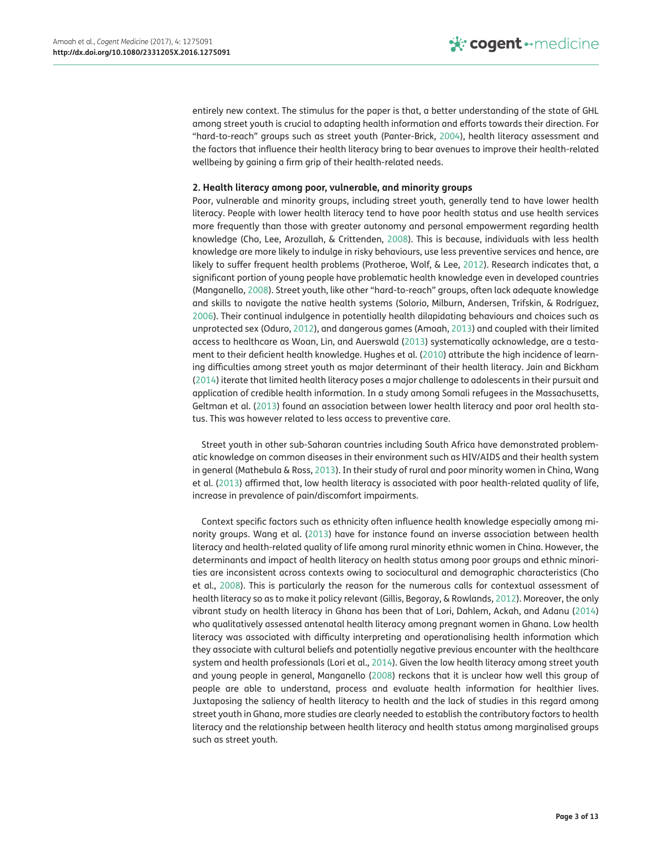entirely new context. The stimulus for the paper is that, a better understanding of the state of GHL among street youth is crucial to adapting health information and efforts towards their direction. For "hard-to-reach" groups such as street youth (Panter-Brick, [2004](#page-13-9)), health literacy assessment and the factors that influence their health literacy bring to bear avenues to improve their health-related wellbeing by gaining a firm grip of their health-related needs.

#### **2. Health literacy among poor, vulnerable, and minority groups**

<span id="page-3-7"></span><span id="page-3-6"></span><span id="page-3-0"></span>Poor, vulnerable and minority groups, including street youth, generally tend to have lower health literacy. People with lower health literacy tend to have poor health status and use health services more frequently than those with greater autonomy and personal empowerment regarding health knowledge (Cho, Lee, Arozullah, & Crittenden, [2008](#page-12-16)). This is because, individuals with less health knowledge are more likely to indulge in risky behaviours, use less preventive services and hence, are likely to suffer frequent health problems (Protheroe, Wolf, & Lee, [2012](#page-13-11)). Research indicates that, a significant portion of young people have problematic health knowledge even in developed countries (Manganello, [2008\)](#page-12-0). Street youth, like other "hard-to-reach" groups, often lack adequate knowledge and skills to navigate the native health systems (Solorio, Milburn, Andersen, Trifskin, & Rodríguez, [2006](#page-13-12)). Their continual indulgence in potentially health dilapidating behaviours and choices such as unprotected sex (Oduro, [2012\)](#page-13-5), and dangerous games (Amoah, [2013](#page-11-3)) and coupled with their limited access to healthcare as Woan, Lin, and Auerswald [\(2013](#page-13-13)) systematically acknowledge, are a testament to their deficient health knowledge. Hughes et al. [\(2010\)](#page-12-17) attribute the high incidence of learning difficulties among street youth as major determinant of their health literacy. Jain and Bickham ([2014](#page-12-18)) iterate that limited health literacy poses a major challenge to adolescents in their pursuit and application of credible health information. In a study among Somali refugees in the Massachusetts, Geltman et al. [\(2013\)](#page-12-19) found an association between lower health literacy and poor oral health status. This was however related to less access to preventive care.

<span id="page-3-9"></span><span id="page-3-8"></span><span id="page-3-4"></span><span id="page-3-3"></span><span id="page-3-1"></span>Street youth in other sub-Saharan countries including South Africa have demonstrated problematic knowledge on common diseases in their environment such as HIV/AIDS and their health system in general (Mathebula & Ross, [2013\)](#page-13-6). In their study of rural and poor minority women in China, Wang et al. [\(2013\)](#page-13-14) affirmed that, low health literacy is associated with poor health-related quality of life, increase in prevalence of pain/discomfort impairments.

<span id="page-3-5"></span><span id="page-3-2"></span>Context specific factors such as ethnicity often influence health knowledge especially among minority groups. Wang et al. ([2013](#page-13-14)) have for instance found an inverse association between health literacy and health-related quality of life among rural minority ethnic women in China. However, the determinants and impact of health literacy on health status among poor groups and ethnic minorities are inconsistent across contexts owing to sociocultural and demographic characteristics (Cho et al., [2008\)](#page-12-16). This is particularly the reason for the numerous calls for contextual assessment of health literacy so as to make it policy relevant (Gillis, Begoray, & Rowlands, [2012\)](#page-12-20). Moreover, the only vibrant study on health literacy in Ghana has been that of Lori, Dahlem, Ackah, and Adanu ([2014](#page-12-21)) who qualitatively assessed antenatal health literacy among pregnant women in Ghana. Low health literacy was associated with difficulty interpreting and operationalising health information which they associate with cultural beliefs and potentially negative previous encounter with the healthcare system and health professionals (Lori et al., [2014\)](#page-12-21). Given the low health literacy among street youth and young people in general, Manganello [\(2008\)](#page-12-0) reckons that it is unclear how well this group of people are able to understand, process and evaluate health information for healthier lives. Juxtaposing the saliency of health literacy to health and the lack of studies in this regard among street youth in Ghana, more studies are clearly needed to establish the contributory factors to health literacy and the relationship between health literacy and health status among marginalised groups such as street youth.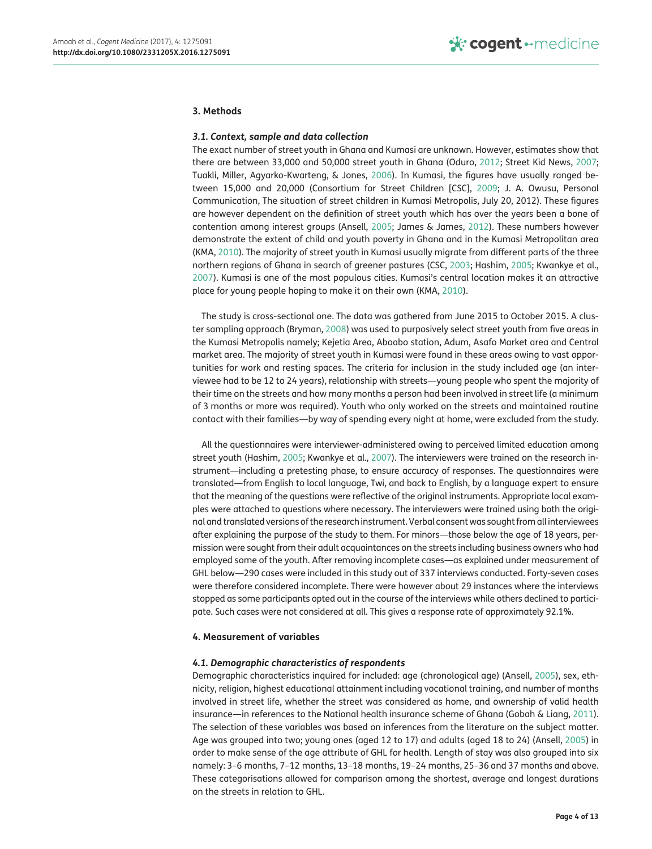#### **3. Methods**

#### *3.1. Context, sample and data collection*

<span id="page-4-6"></span><span id="page-4-5"></span><span id="page-4-2"></span>The exact number of street youth in Ghana and Kumasi are unknown. However, estimates show that there are between 33,000 and 50,000 street youth in Ghana (Oduro, [2012;](#page-13-5) Street Kid News, [2007;](#page-13-15) Tuakli, Miller, Agyarko-Kwarteng, & Jones, [2006](#page-13-16)). In Kumasi, the figures have usually ranged between 15,000 and 20,000 (Consortium for Street Children [CSC], [2009](#page-12-22); J. A. Owusu, Personal Communication, The situation of street children in Kumasi Metropolis, July 20, 2012). These figures are however dependent on the definition of street youth which has over the years been a bone of contention among interest groups (Ansell, [2005;](#page-12-3) James & James, [2012](#page-12-2)). These numbers however demonstrate the extent of child and youth poverty in Ghana and in the Kumasi Metropolitan area (KMA, [2010](#page-12-6)). The majority of street youth in Kumasi usually migrate from different parts of the three northern regions of Ghana in search of greener pastures (CSC, [2003;](#page-12-23) Hashim, [2005](#page-12-24); Kwankye et al., [2007](#page-12-13)). Kumasi is one of the most populous cities. Kumasi's central location makes it an attractive place for young people hoping to make it on their own (KMA, [2010\)](#page-12-6).

<span id="page-4-4"></span><span id="page-4-1"></span><span id="page-4-0"></span>The study is cross-sectional one. The data was gathered from June 2015 to October 2015. A cluster sampling approach (Bryman, [2008\)](#page-12-25) was used to purposively select street youth from five areas in the Kumasi Metropolis namely; Kejetia Area, Aboabo station, Adum, Asafo Market area and Central market area. The majority of street youth in Kumasi were found in these areas owing to vast opportunities for work and resting spaces. The criteria for inclusion in the study included age (an interviewee had to be 12 to 24 years), relationship with streets—young people who spent the majority of their time on the streets and how many months a person had been involved in street life (a minimum of 3 months or more was required). Youth who only worked on the streets and maintained routine contact with their families—by way of spending every night at home, were excluded from the study.

All the questionnaires were interviewer-administered owing to perceived limited education among street youth (Hashim, [2005](#page-12-24); Kwankye et al., [2007](#page-12-13)). The interviewers were trained on the research instrument—including a pretesting phase, to ensure accuracy of responses. The questionnaires were translated—from English to local language, Twi, and back to English, by a language expert to ensure that the meaning of the questions were reflective of the original instruments. Appropriate local examples were attached to questions where necessary. The interviewers were trained using both the original and translated versions of the research instrument. Verbal consent was sought from all interviewees after explaining the purpose of the study to them. For minors—those below the age of 18 years, permission were sought from their adult acquaintances on the streets including business owners who had employed some of the youth. After removing incomplete cases—as explained under measurement of GHL below—290 cases were included in this study out of 337 interviews conducted. Forty-seven cases were therefore considered incomplete. There were however about 29 instances where the interviews stopped as some participants opted out in the course of the interviews while others declined to participate. Such cases were not considered at all. This gives a response rate of approximately 92.1%.

#### **4. Measurement of variables**

#### *4.1. Demographic characteristics of respondents*

<span id="page-4-3"></span>Demographic characteristics inquired for included: age (chronological age) (Ansell, [2005](#page-12-3)), sex, ethnicity, religion, highest educational attainment including vocational training, and number of months involved in street life, whether the street was considered as home, and ownership of valid health insurance—in references to the National health insurance scheme of Ghana (Gobah & Liang, [2011](#page-12-26)). The selection of these variables was based on inferences from the literature on the subject matter. Age was grouped into two; young ones (aged 12 to 17) and adults (aged 18 to 24) (Ansell, [2005\)](#page-12-3) in order to make sense of the age attribute of GHL for health. Length of stay was also grouped into six namely: 3–6 months, 7–12 months, 13–18 months, 19–24 months, 25–36 and 37 months and above. These categorisations allowed for comparison among the shortest, average and longest durations on the streets in relation to GHL.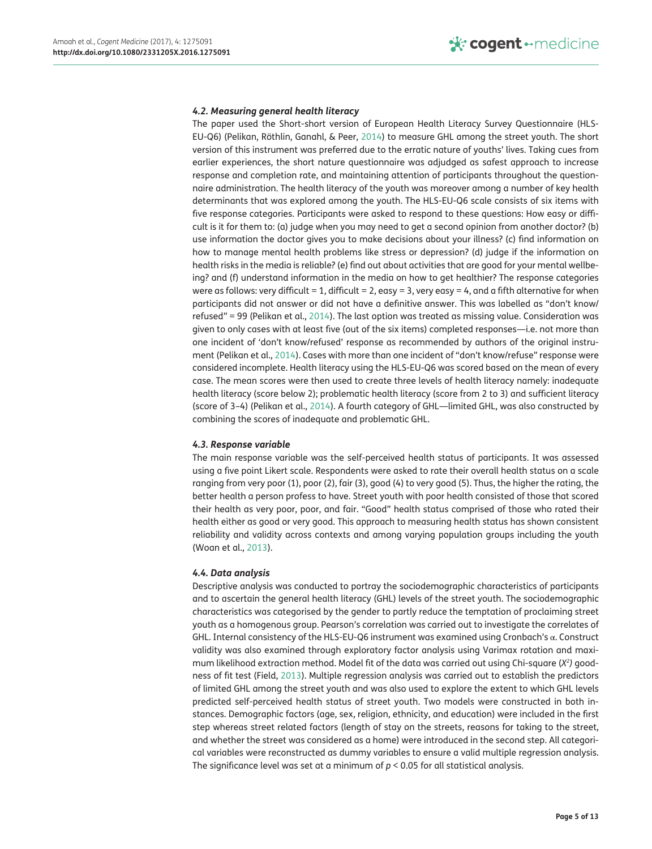## *4.2. Measuring general health literacy*

<span id="page-5-1"></span>The paper used the Short-short version of European Health Literacy Survey Questionnaire (HLS-EU-Q6) (Pelikan, Röthlin, Ganahl, & Peer, [2014\)](#page-13-17) to measure GHL among the street youth. The short version of this instrument was preferred due to the erratic nature of youths' lives. Taking cues from earlier experiences, the short nature questionnaire was adjudged as safest approach to increase response and completion rate, and maintaining attention of participants throughout the questionnaire administration. The health literacy of the youth was moreover among a number of key health determinants that was explored among the youth. The HLS-EU-Q6 scale consists of six items with five response categories. Participants were asked to respond to these questions: How easy or difficult is it for them to: (a) judge when you may need to get a second opinion from another doctor? (b) use information the doctor gives you to make decisions about your illness? (c) find information on how to manage mental health problems like stress or depression? (d) judge if the information on health risks in the media is reliable? (e) find out about activities that are good for your mental wellbeing? and (f) understand information in the media on how to get healthier? The response categories were as follows: very difficult = 1, difficult = 2, easy = 3, very easy = 4, and a fifth alternative for when participants did not answer or did not have a definitive answer. This was labelled as "don't know/ refused" = 99 (Pelikan et al., [2014](#page-13-17)). The last option was treated as missing value. Consideration was given to only cases with at least five (out of the six items) completed responses—i.e. not more than one incident of 'don't know/refused' response as recommended by authors of the original instrument (Pelikan et al., [2014](#page-13-17)). Cases with more than one incident of "don't know/refuse" response were considered incomplete. Health literacy using the HLS-EU-Q6 was scored based on the mean of every case. The mean scores were then used to create three levels of health literacy namely: inadequate health literacy (score below 2); problematic health literacy (score from 2 to 3) and sufficient literacy (score of 3–4) (Pelikan et al., [2014](#page-13-17)). A fourth category of GHL—limited GHL, was also constructed by combining the scores of inadequate and problematic GHL.

#### *4.3. Response variable*

The main response variable was the self-perceived health status of participants. It was assessed using a five point Likert scale. Respondents were asked to rate their overall health status on a scale ranging from very poor (1), poor (2), fair (3), good (4) to very good (5). Thus, the higher the rating, the better health a person profess to have. Street youth with poor health consisted of those that scored their health as very poor, poor, and fair. "Good" health status comprised of those who rated their health either as good or very good. This approach to measuring health status has shown consistent reliability and validity across contexts and among varying population groups including the youth (Woan et al., [2013](#page-13-13)).

## *4.4. Data analysis*

<span id="page-5-0"></span>Descriptive analysis was conducted to portray the sociodemographic characteristics of participants and to ascertain the general health literacy (GHL) levels of the street youth. The sociodemographic characteristics was categorised by the gender to partly reduce the temptation of proclaiming street youth as a homogenous group. Pearson's correlation was carried out to investigate the correlates of GHL. Internal consistency of the HLS-EU-Q6 instrument was examined using Cronbach's α. Construct validity was also examined through exploratory factor analysis using Varimax rotation and maximum likelihood extraction method. Model fit of the data was carried out using Chi-square (*X2 )* goodness of fit test (Field, [2013\)](#page-12-27). Multiple regression analysis was carried out to establish the predictors of limited GHL among the street youth and was also used to explore the extent to which GHL levels predicted self-perceived health status of street youth. Two models were constructed in both instances. Demographic factors (age, sex, religion, ethnicity, and education) were included in the first step whereas street related factors (length of stay on the streets, reasons for taking to the street, and whether the street was considered as a home) were introduced in the second step. All categorical variables were reconstructed as dummy variables to ensure a valid multiple regression analysis. The significance level was set at a minimum of *p* < 0.05 for all statistical analysis.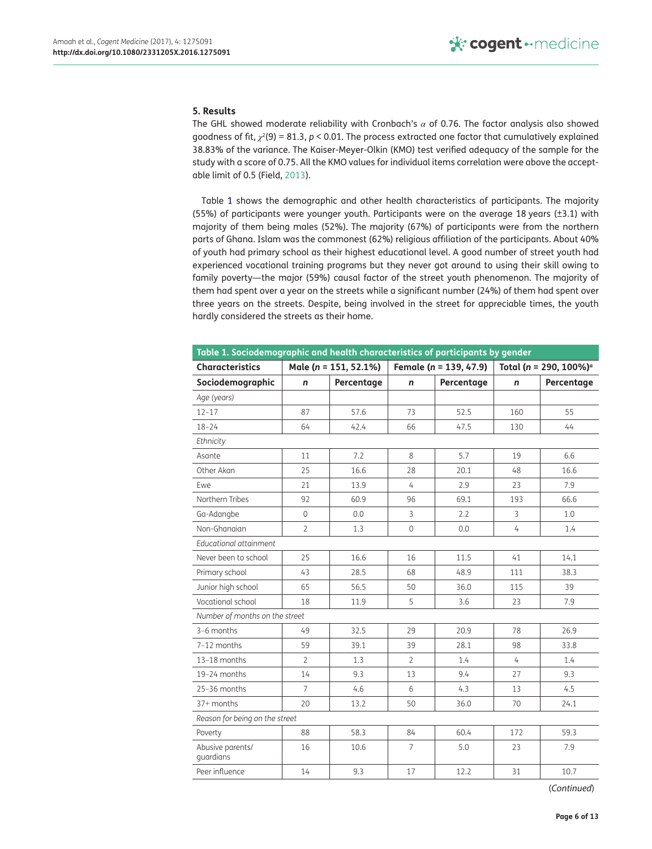#### **5. Results**

The GHL showed moderate reliability with Cronbach's *α* of 0.76. The factor analysis also showed goodness of fit, *χ*<sup>2</sup> (9) = 81.3, *p* < 0.01. The process extracted one factor that cumulatively explained 38.83% of the variance. The Kaiser-Meyer-Olkin (KMO) test verified adequacy of the sample for the study with a score of 0.75. All the KMO values for individual items correlation were above the acceptable limit of 0.5 (Field, [2013\)](#page-12-27).

Table [1](#page-6-0) shows the demographic and other health characteristics of participants. The majority (55%) of participants were younger youth. Participants were on the average 18 years (±3.1) with majority of them being males (52%). The majority (67%) of participants were from the northern parts of Ghana. Islam was the commonest (62%) religious affiliation of the participants. About 40% of youth had primary school as their highest educational level. A good number of street youth had experienced vocational training programs but they never got around to using their skill owing to family poverty—the major (59%) causal factor of the street youth phenomenon. The majority of them had spent over a year on the streets while a significant number (24%) of them had spent over three years on the streets. Despite, being involved in the street for appreciable times, the youth hardly considered the streets as their home.

<span id="page-6-0"></span>

| Table 1. Sociodemographic and health characteristics of participants by gender |                |                       |                |                            |                |                                         |  |  |
|--------------------------------------------------------------------------------|----------------|-----------------------|----------------|----------------------------|----------------|-----------------------------------------|--|--|
| <b>Characteristics</b>                                                         |                | Male (n = 151, 52.1%) |                | Female ( $n = 139, 47.9$ ) |                | Total ( $n = 290, 100\%$ ) <sup>a</sup> |  |  |
| Sociodemographic                                                               | $\mathsf{n}$   | Percentage            | n              | Percentage                 | $\mathsf{n}$   | Percentage                              |  |  |
| Age (years)                                                                    |                |                       |                |                            |                |                                         |  |  |
| $12 - 17$                                                                      | 87             | 57.6                  | 73             | 52.5                       | 160            | 55                                      |  |  |
| $18 - 24$                                                                      | 64             | 42.4                  | 66             | 47.5                       | 130            | 44                                      |  |  |
| Ethnicity                                                                      |                |                       |                |                            |                |                                         |  |  |
| Asante                                                                         | 11             | 7.2                   | 8              | 5.7                        | 19             | 6.6                                     |  |  |
| Other Akan                                                                     | 25             | 16.6                  | 28             | 20.1                       | 48             | 16.6                                    |  |  |
| Ewe                                                                            | 21             | 13.9                  | $\overline{4}$ | 2.9                        | 23             | 7.9                                     |  |  |
| Northern Tribes                                                                | 92             | 60.9                  | 96             | 69.1                       | 193            | 66.6                                    |  |  |
| Ga-Adangbe                                                                     | $\mathbf 0$    | 0.0                   | $\overline{3}$ | 2.2                        | 3              | 1.0                                     |  |  |
| Non-Ghanaian                                                                   | $\overline{2}$ | 1.3                   | $\mathbf 0$    | 0.0                        | $\overline{4}$ | 1.4                                     |  |  |
| Educational attainment                                                         |                |                       |                |                            |                |                                         |  |  |
| Never been to school                                                           | 25             | 16.6                  | 16             | 11.5                       | 41             | 14.1                                    |  |  |
| Primary school                                                                 | 43             | 28.5                  | 68             | 48.9                       | 111            | 38.3                                    |  |  |
| Junior high school                                                             | 65             | 56.5                  | 50             | 36.0                       | 115            | 39                                      |  |  |
| Vocational school                                                              | 18             | 11.9                  | 5              | 3.6                        | 23             | 7.9                                     |  |  |
| Number of months on the street                                                 |                |                       |                |                            |                |                                         |  |  |
| 3-6 months                                                                     | 49             | 32.5                  | 29             | 20.9                       | 78             | 26.9                                    |  |  |
| 7-12 months                                                                    | 59             | 39.1                  | 39             | 28.1                       | 98             | 33.8                                    |  |  |
| 13-18 months                                                                   | $\overline{2}$ | 1.3                   | $\overline{2}$ | 1.4                        | 4              | 1.4                                     |  |  |
| 19-24 months                                                                   | 14             | 9.3                   | 13             | 9.4                        | 27             | 9.3                                     |  |  |
| 25-36 months                                                                   | $\overline{7}$ | 4.6                   | 6              | 4.3                        | 13             | 4.5                                     |  |  |
| 37+ months                                                                     | 20             | 13.2                  | 50             | 36.0                       | 70             | 24.1                                    |  |  |
| Reason for being on the street                                                 |                |                       |                |                            |                |                                         |  |  |
| Poverty                                                                        | 88             | 58.3                  | 84             | 60.4                       | 172            | 59.3                                    |  |  |
| Abusive parents/<br>guardians                                                  | 16             | 10.6                  | $\overline{7}$ | 5.0                        | 23             | 7.9                                     |  |  |
| Peer influence                                                                 | 14             | 9.3                   | 17             | 12.2                       | 31             | 10.7                                    |  |  |

(*Continued*)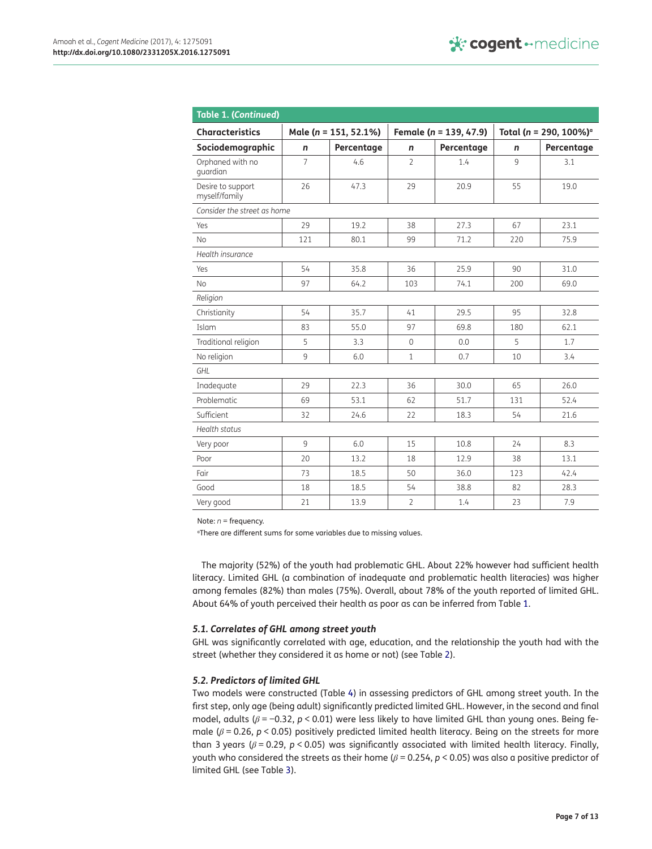| <b>Table 1. (Continued)</b>        |     |                       |                |                            |     |                                         |  |  |
|------------------------------------|-----|-----------------------|----------------|----------------------------|-----|-----------------------------------------|--|--|
| <b>Characteristics</b>             |     | Male (n = 151, 52.1%) |                | Female ( $n = 139, 47.9$ ) |     | Total ( $n = 290, 100\%$ ) <sup>a</sup> |  |  |
| Sociodemographic                   | n   | Percentage            | n              | Percentage                 | n   | Percentage                              |  |  |
| Orphaned with no<br>quardian       | 7   | 4.6                   | $\overline{2}$ | 1.4                        | 9   | 3.1                                     |  |  |
| Desire to support<br>myself/family | 26  | 47.3                  | 29             | 20.9                       | 55  | 19.0                                    |  |  |
| Consider the street as home        |     |                       |                |                            |     |                                         |  |  |
| Yes                                | 29  | 19.2                  | 38             | 27.3                       | 67  | 23.1                                    |  |  |
| <b>No</b>                          | 121 | 80.1                  | 99             | 71.2                       | 220 | 75.9                                    |  |  |
| Health insurance                   |     |                       |                |                            |     |                                         |  |  |
| Yes                                | 54  | 35.8                  | 36             | 25.9                       | 90  | 31.0                                    |  |  |
| <b>No</b>                          | 97  | 64.2                  | 103            | 74.1                       | 200 | 69.0                                    |  |  |
| Religion                           |     |                       |                |                            |     |                                         |  |  |
| Christianity                       | 54  | 35.7                  | 41             | 29.5                       | 95  | 32.8                                    |  |  |
| Islam                              | 83  | 55.0                  | 97             | 69.8                       | 180 | 62.1                                    |  |  |
| Traditional religion               | 5   | 3.3                   | $\mathbf 0$    | 0.0                        | 5   | 1.7                                     |  |  |
| No religion                        | 9   | 6.0                   | $\mathbf{1}$   | 0.7                        | 10  | 3.4                                     |  |  |
| GHL                                |     |                       |                |                            |     |                                         |  |  |
| Inadequate                         | 29  | 22.3                  | 36             | 30.0                       | 65  | 26.0                                    |  |  |
| Problematic                        | 69  | 53.1                  | 62             | 51.7                       | 131 | 52.4                                    |  |  |
| Sufficient                         | 32  | 24.6                  | 22             | 18.3                       | 54  | 21.6                                    |  |  |
| Health status                      |     |                       |                |                            |     |                                         |  |  |
| Very poor                          | 9   | 6.0                   | 15             | 10.8                       | 24  | 8.3                                     |  |  |
| Poor                               | 20  | 13.2                  | 18             | 12.9                       | 38  | 13.1                                    |  |  |
| Fair                               | 73  | 18.5                  | 50             | 36.0                       | 123 | 42.4                                    |  |  |
| Good                               | 18  | 18.5                  | 54             | 38.8                       | 82  | 28.3                                    |  |  |
| Very good                          | 21  | 13.9                  | $\overline{2}$ | 1.4                        | 23  | 7.9                                     |  |  |

Note: *n* = frequency.

a There are different sums for some variables due to missing values.

The majority (52%) of the youth had problematic GHL. About 22% however had sufficient health literacy. Limited GHL (a combination of inadequate and problematic health literacies) was higher among females (82%) than males (75%). Overall, about 78% of the youth reported of limited GHL. About 64% of youth perceived their health as poor as can be inferred from Table [1.](#page-6-0)

#### *5.1. Correlates of GHL among street youth*

GHL was significantly correlated with age, education, and the relationship the youth had with the street (whether they considered it as home or not) (see Table [2\)](#page-8-0).

#### *5.2. Predictors of limited GHL*

Two models were constructed (Table [4](#page-9-0)) in assessing predictors of GHL among street youth. In the first step, only age (being adult) significantly predicted limited GHL. However, in the second and final model, adults (*β* = −0.32, *p* < 0.01) were less likely to have limited GHL than young ones. Being female (*β* = 0.26, *p* < 0.05) positively predicted limited health literacy. Being on the streets for more than 3 years (*β* = 0.29, *p* < 0.05) was significantly associated with limited health literacy. Finally, youth who considered the streets as their home (*β* = 0.254, *p* < 0.05) was also a positive predictor of limited GHL (see Table [3](#page-8-1)).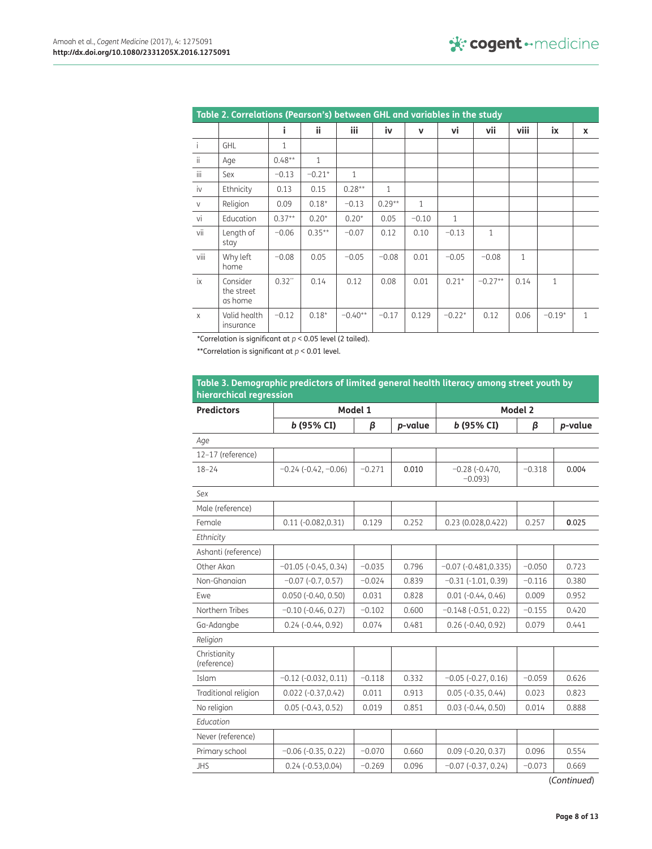<span id="page-8-0"></span>

|              | Table 2. Correlations (Pearson's) between GHL and variables in the study |              |              |           |              |              |              |              |              |          |   |
|--------------|--------------------------------------------------------------------------|--------------|--------------|-----------|--------------|--------------|--------------|--------------|--------------|----------|---|
|              |                                                                          |              | ii.          | iii       | iv           | v            | vi           | vii          | viii         | ix       | X |
| $\mathbf{i}$ | <b>GHL</b>                                                               | $\mathbf{1}$ |              |           |              |              |              |              |              |          |   |
| ii.          | Age                                                                      | $0.48**$     | $\mathbf{1}$ |           |              |              |              |              |              |          |   |
| iii          | Sex                                                                      | $-0.13$      | $-0.21*$     | 1         |              |              |              |              |              |          |   |
| iv           | Ethnicity                                                                | 0.13         | 0.15         | $0.28**$  | $\mathbf{1}$ |              |              |              |              |          |   |
| $\vee$       | Religion                                                                 | 0.09         | $0.18*$      | $-0.13$   | $0.29**$     | $\mathbf{1}$ |              |              |              |          |   |
| vi           | Education                                                                | $0.37**$     | $0.20*$      | $0.20*$   | 0.05         | $-0.10$      | $\mathbf{1}$ |              |              |          |   |
| vii          | Length of<br>stay                                                        | $-0.06$      | $0.35**$     | $-0.07$   | 0.12         | 0.10         | $-0.13$      | $\mathbf{1}$ |              |          |   |
| viii         | Why left<br>home                                                         | $-0.08$      | 0.05         | $-0.05$   | $-0.08$      | 0.01         | $-0.05$      | $-0.08$      | $\mathbf{1}$ |          |   |
| ix           | Consider<br>the street<br>as home                                        | 0.32"        | 0.14         | 0.12      | 0.08         | 0.01         | $0.21*$      | $-0.27**$    | 0.14         | 1        |   |
| $\mathsf{X}$ | Valid health<br>insurance                                                | $-0.12$      | $0.18*$      | $-0.40**$ | $-0.17$      | 0.129        | $-0.22*$     | 0.12         | 0.06         | $-0.19*$ | 1 |

\*Correlation is significant at *p* < 0.05 level (2 tailed).

\*\*Correlation is significant at *p* < 0.01 level.

<span id="page-8-1"></span>

| hierarchical regression     |                               |          |         | Table 3. Demographic predictors of limited general health literacy among street youth by |          |         |
|-----------------------------|-------------------------------|----------|---------|------------------------------------------------------------------------------------------|----------|---------|
| <b>Predictors</b>           |                               | Model 1  |         |                                                                                          | Model 2  |         |
|                             | b (95% CI)                    | β        | p-value | b(95% CI)                                                                                | β        | p-value |
| Age                         |                               |          |         |                                                                                          |          |         |
| 12-17 (reference)           |                               |          |         |                                                                                          |          |         |
| $18 - 24$                   | $-0.24$ ( $-0.42$ , $-0.06$ ) | $-0.271$ | 0.010   | $-0.28$ ( $-0.470$ )<br>$-0.093$                                                         | $-0.318$ | 0.004   |
| Sex                         |                               |          |         |                                                                                          |          |         |
| Male (reference)            |                               |          |         |                                                                                          |          |         |
| Female                      | $0.11 (-0.082, 0.31)$         | 0.129    | 0.252   | 0.23(0.028, 0.422)                                                                       | 0.257    | 0.025   |
| Ethnicity                   |                               |          |         |                                                                                          |          |         |
| Ashanti (reference)         |                               |          |         |                                                                                          |          |         |
| Other Akan                  | $-01.05$ ( $-0.45, 0.34$ )    | $-0.035$ | 0.796   | $-0.07$ ( $-0.481, 0.335$ )                                                              | $-0.050$ | 0.723   |
| Non-Ghanaian                | $-0.07$ ( $-0.7, 0.57$ )      | $-0.024$ | 0.839   | $-0.31$ ( $-1.01$ , $0.39$ )                                                             | $-0.116$ | 0.380   |
| Ewe                         | $0.050(-0.40, 0.50)$          | 0.031    | 0.828   | $0.01$ ( $-0.44$ , $0.46$ )                                                              | 0.009    | 0.952   |
| Northern Tribes             | $-0.10$ ( $-0.46$ , 0.27)     | $-0.102$ | 0.600   | $-0.148$ ( $-0.51$ , 0.22)                                                               | $-0.155$ | 0.420   |
| Ga-Adangbe                  | $0.24$ ( $-0.44$ , $0.92$ )   | 0.074    | 0.481   | $0.26$ ( $-0.40$ , $0.92$ )                                                              | 0.079    | 0.441   |
| Religion                    |                               |          |         |                                                                                          |          |         |
| Christianity<br>(reference) |                               |          |         |                                                                                          |          |         |
| Islam                       | $-0.12$ ( $-0.032$ , $0.11$ ) | $-0.118$ | 0.332   | $-0.05$ ( $-0.27, 0.16$ )                                                                | $-0.059$ | 0.626   |
| Traditional religion        | $0.022(-0.37, 0.42)$          | 0.011    | 0.913   | $0.05$ ( $-0.35$ , $0.44$ )                                                              | 0.023    | 0.823   |
| No religion                 | $0.05$ ( $-0.43$ , $0.52$ )   | 0.019    | 0.851   | $0.03(-0.44, 0.50)$                                                                      | 0.014    | 0.888   |
| Education                   |                               |          |         |                                                                                          |          |         |
| Never (reference)           |                               |          |         |                                                                                          |          |         |
| Primary school              | $-0.06$ ( $-0.35$ , 0.22)     | $-0.070$ | 0.660   | $0.09$ ( $-0.20$ , $0.37$ )                                                              | 0.096    | 0.554   |
| <b>JHS</b>                  | $0.24 (-0.53, 0.04)$          | $-0.269$ | 0.096   | $-0.07$ ( $-0.37$ , $0.24$ )                                                             | $-0.073$ | 0.669   |

(*Continued*)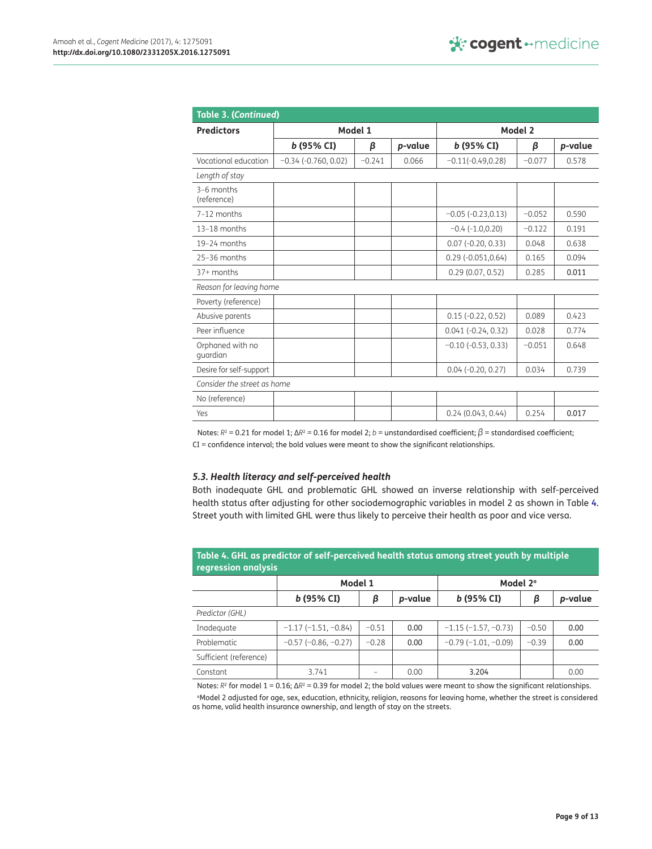| <b>Table 3. (Continued)</b>  |                               |          |         |                             |          |         |  |  |
|------------------------------|-------------------------------|----------|---------|-----------------------------|----------|---------|--|--|
| <b>Predictors</b>            |                               | Model 1  |         | Model 2                     |          |         |  |  |
|                              | b (95% CI)                    | β        | p-value | b (95% CI)                  | β        | p-value |  |  |
| Vocational education         | $-0.34$ ( $-0.760$ , $0.02$ ) | $-0.241$ | 0.066   | $-0.11(-0.49, 0.28)$        | $-0.077$ | 0.578   |  |  |
| Length of stay               |                               |          |         |                             |          |         |  |  |
| $3-6$ months<br>(reference)  |                               |          |         |                             |          |         |  |  |
| 7-12 months                  |                               |          |         | $-0.05$ ( $-0.23, 0.13$ )   | $-0.052$ | 0.590   |  |  |
| 13-18 months                 |                               |          |         | $-0.4$ ( $-1.0,0.20$ )      | $-0.122$ | 0.191   |  |  |
| 19-24 months                 |                               |          |         | $0.07$ ( $-0.20$ , $0.33$ ) | 0.048    | 0.638   |  |  |
| $25-36$ months               |                               |          |         | $0.29(-0.051, 0.64)$        | 0.165    | 0.094   |  |  |
| $37+$ months                 |                               |          |         | 0.29(0.07, 0.52)            | 0.285    | 0.011   |  |  |
| Reason for leaving home      |                               |          |         |                             |          |         |  |  |
| Poverty (reference)          |                               |          |         |                             |          |         |  |  |
| Abusive parents              |                               |          |         | $0.15 (-0.22, 0.52)$        | 0.089    | 0.423   |  |  |
| Peer influence               |                               |          |         | $0.041 (-0.24, 0.32)$       | 0.028    | 0.774   |  |  |
| Orphaned with no<br>quardian |                               |          |         | $-0.10$ ( $-0.53$ , 0.33)   | $-0.051$ | 0.648   |  |  |
| Desire for self-support      |                               |          |         | $0.04$ ( $-0.20$ , $0.27$ ) | 0.034    | 0.739   |  |  |
| Consider the street as home  |                               |          |         |                             |          |         |  |  |
| No (reference)               |                               |          |         |                             |          |         |  |  |
| Yes                          |                               |          |         | 0.24(0.043, 0.44)           | 0.254    | 0.017   |  |  |

Notes: *R*<sup>2</sup> = 0.21 for model 1; Δ*R*<sup>2</sup> = 0.16 for model 2; *b* = unstandardised coefficient;  $\beta$  = standardised coefficient; CI = confidence interval; the bold values were meant to show the significant relationships.

## *5.3. Health literacy and self-perceived health*

Both inadequate GHL and problematic GHL showed an inverse relationship with self-perceived health status after adjusting for other sociodemographic variables in model 2 as shown in Table [4.](#page-9-0) Street youth with limited GHL were thus likely to perceive their health as poor and vice versa.

<span id="page-9-0"></span>

| Table 4. GHL as predictor of self-perceived health status among street youth by multiple<br>regression analysis |                               |         |         |                       |         |         |  |  |
|-----------------------------------------------------------------------------------------------------------------|-------------------------------|---------|---------|-----------------------|---------|---------|--|--|
|                                                                                                                 | Model 1                       |         |         | Model 2 <sup>a</sup>  |         |         |  |  |
|                                                                                                                 | b(95% CI)                     | β       | p-value | b(95% CI)             | β       | p-value |  |  |
| Predictor (GHL)                                                                                                 |                               |         |         |                       |         |         |  |  |
| Inadequate                                                                                                      | $-1.17(-1.51,-0.84)$          | $-0.51$ | 0.00    | $-1.15(-1.57, -0.73)$ | $-0.50$ | 0.00    |  |  |
| Problematic                                                                                                     | $-0.57$ ( $-0.86$ , $-0.27$ ) | $-0.28$ | 0.00    | $-0.79(-1.01,-0.09)$  | $-0.39$ | 0.00    |  |  |
| Sufficient (reference)                                                                                          |                               |         |         |                       |         |         |  |  |
| Constant                                                                                                        | 3.741                         |         | 0.00    | 3.204                 |         | 0.00    |  |  |

Notes: R<sup>2</sup> for model 1 = 0.16; ∆R<sup>2</sup> = 0.39 for model 2; the bold values were meant to show the significant relationships. a Model 2 adjusted for age, sex, education, ethnicity, religion, reasons for leaving home, whether the street is considered as home, valid health insurance ownership, and length of stay on the streets.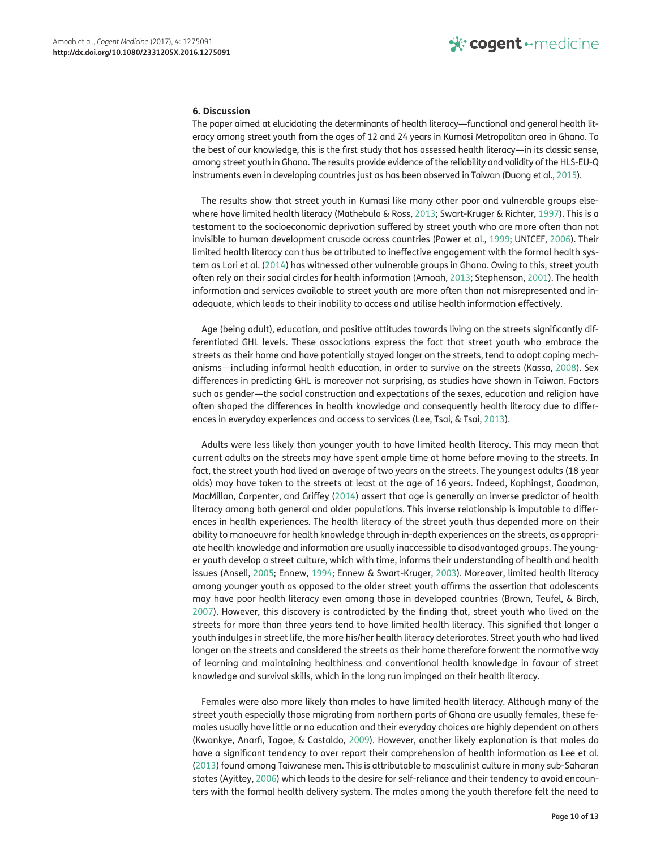#### **6. Discussion**

The paper aimed at elucidating the determinants of health literacy—functional and general health literacy among street youth from the ages of 12 and 24 years in Kumasi Metropolitan area in Ghana. To the best of our knowledge, this is the first study that has assessed health literacy—in its classic sense, among street youth in Ghana. The results provide evidence of the reliability and validity of the HLS-EU-Q instruments even in developing countries just as has been observed in Taiwan (Duong et al., [2015](#page-12-28)).

<span id="page-10-10"></span><span id="page-10-8"></span><span id="page-10-2"></span>The results show that street youth in Kumasi like many other poor and vulnerable groups elsewhere have limited health literacy (Mathebula & Ross, [2013](#page-13-6); Swart-Kruger & Richter, [1997\)](#page-13-18). This is a testament to the socioeconomic deprivation suffered by street youth who are more often than not invisible to human development crusade across countries (Power et al., [1999;](#page-13-19) UNICEF, [2006\)](#page-13-7). Their limited health literacy can thus be attributed to ineffective engagement with the formal health system as Lori et al. ([2014](#page-12-21)) has witnessed other vulnerable groups in Ghana. Owing to this, street youth often rely on their social circles for health information (Amoah, [2013](#page-11-3); Stephenson, [2001\)](#page-13-20). The health information and services available to street youth are more often than not misrepresented and inadequate, which leads to their inability to access and utilise health information effectively.

<span id="page-10-9"></span>Age (being adult), education, and positive attitudes towards living on the streets significantly differentiated GHL levels. These associations express the fact that street youth who embrace the streets as their home and have potentially stayed longer on the streets, tend to adopt coping mechanisms—including informal health education, in order to survive on the streets (Kassa, [2008\)](#page-12-10). Sex differences in predicting GHL is moreover not surprising, as studies have shown in Taiwan. Factors such as gender—the social construction and expectations of the sexes, education and religion have often shaped the differences in health knowledge and consequently health literacy due to differences in everyday experiences and access to services (Lee, Tsai, & Tsai, [2013](#page-12-29)).

<span id="page-10-7"></span><span id="page-10-5"></span><span id="page-10-4"></span><span id="page-10-3"></span>Adults were less likely than younger youth to have limited health literacy. This may mean that current adults on the streets may have spent ample time at home before moving to the streets. In fact, the street youth had lived an average of two years on the streets. The youngest adults (18 year olds) may have taken to the streets at least at the age of 16 years. Indeed, Kaphingst, Goodman, MacMillan, Carpenter, and Griffey [\(2014](#page-12-30)) assert that age is generally an inverse predictor of health literacy among both general and older populations. This inverse relationship is imputable to differences in health experiences. The health literacy of the street youth thus depended more on their ability to manoeuvre for health knowledge through in-depth experiences on the streets, as appropriate health knowledge and information are usually inaccessible to disadvantaged groups. The younger youth develop a street culture, which with time, informs their understanding of health and health issues (Ansell, [2005](#page-12-3); Ennew, [1994;](#page-12-31) Ennew & Swart-Kruger, [2003](#page-12-32)). Moreover, limited health literacy among younger youth as opposed to the older street youth affirms the assertion that adolescents may have poor health literacy even among those in developed countries (Brown, Teufel, & Birch, [2007](#page-12-33)). However, this discovery is contradicted by the finding that, street youth who lived on the streets for more than three years tend to have limited health literacy. This signified that longer a youth indulges in street life, the more his/her health literacy deteriorates. Street youth who had lived longer on the streets and considered the streets as their home therefore forwent the normative way of learning and maintaining healthiness and conventional health knowledge in favour of street knowledge and survival skills, which in the long run impinged on their health literacy.

<span id="page-10-6"></span><span id="page-10-1"></span><span id="page-10-0"></span>Females were also more likely than males to have limited health literacy. Although many of the street youth especially those migrating from northern parts of Ghana are usually females, these females usually have little or no education and their everyday choices are highly dependent on others (Kwankye, Anarfi, Tagoe, & Castaldo, [2009\)](#page-12-34). However, another likely explanation is that males do have a significant tendency to over report their comprehension of health information as Lee et al. ([2013](#page-12-29)) found among Taiwanese men. This is attributable to masculinist culture in many sub-Saharan states (Ayittey, [2006\)](#page-12-35) which leads to the desire for self-reliance and their tendency to avoid encounters with the formal health delivery system. The males among the youth therefore felt the need to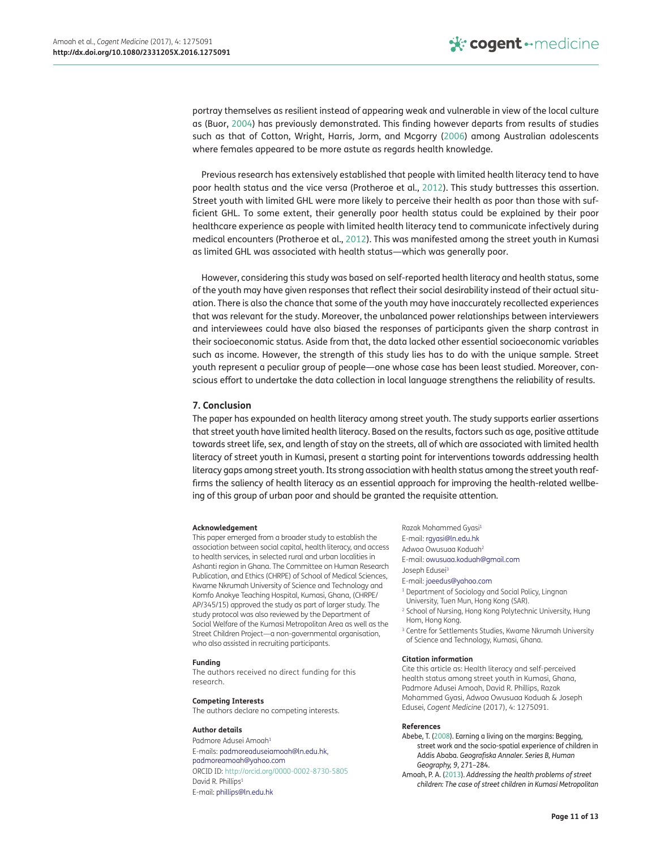<span id="page-11-6"></span><span id="page-11-5"></span>portray themselves as resilient instead of appearing weak and vulnerable in view of the local culture as (Buor, [2004\)](#page-12-36) has previously demonstrated. This finding however departs from results of studies such as that of Cotton, Wright, Harris, Jorm, and Mcgorry ([2006](#page-12-37)) among Australian adolescents where females appeared to be more astute as regards health knowledge.

Previous research has extensively established that people with limited health literacy tend to have poor health status and the vice versa (Protheroe et al., [2012](#page-13-11)). This study buttresses this assertion. Street youth with limited GHL were more likely to perceive their health as poor than those with sufficient GHL. To some extent, their generally poor health status could be explained by their poor healthcare experience as people with limited health literacy tend to communicate infectively during medical encounters (Protheroe et al., [2012\)](#page-13-11). This was manifested among the street youth in Kumasi as limited GHL was associated with health status—which was generally poor.

However, considering this study was based on self-reported health literacy and health status, some of the youth may have given responses that reflect their social desirability instead of their actual situation. There is also the chance that some of the youth may have inaccurately recollected experiences that was relevant for the study. Moreover, the unbalanced power relationships between interviewers and interviewees could have also biased the responses of participants given the sharp contrast in their socioeconomic status. Aside from that, the data lacked other essential socioeconomic variables such as income. However, the strength of this study lies has to do with the unique sample. Street youth represent a peculiar group of people—one whose case has been least studied. Moreover, conscious effort to undertake the data collection in local language strengthens the reliability of results.

#### **7. Conclusion**

The paper has expounded on health literacy among street youth. The study supports earlier assertions that street youth have limited health literacy. Based on the results, factors such as age, positive attitude towards street life, sex, and length of stay on the streets, all of which are associated with limited health literacy of street youth in Kumasi, present a starting point for interventions towards addressing health literacy gaps among street youth. Its strong association with health status among the street youth reaffirms the saliency of health literacy as an essential approach for improving the health-related wellbeing of this group of urban poor and should be granted the requisite attention.

#### **Acknowledgement**

This paper emerged from a broader study to establish the association between social capital, health literacy, and access to health services, in selected rural and urban localities in Ashanti region in Ghana. The Committee on Human Research Publication, and Ethics (CHRPE) of School of Medical Sciences, Kwame Nkrumah University of Science and Technology and Komfo Anokye Teaching Hospital, Kumasi, Ghana, (CHRPE/ AP/345/15) approved the study as part of larger study. The study protocol was also reviewed by the Department of Social Welfare of the Kumasi Metropolitan Area as well as the Street Children Project—a non-governmental organisation, who also assisted in recruiting participants.

#### **Funding**

The authors received no direct funding for this research.

#### **Competing Interests**

The authors declare no competing interests.

#### **Author details**

Padmore Adusei Amoah<sup>1</sup> E-mails: [padmoreaduseiamoah@ln.edu.hk,](mailto:padmoreaduseiamoah@ln.edu.hk) [padmoreamoah@yahoo.com](mailto:padmoreamoah@yahoo.com) ORCID ID:<http://orcid.org/0000-0002-8730-5805> David R. Phillips<sup>1</sup> E-mail: [phillips@ln.edu.hk](mailto:phillips@ln.edu.hk)

Razak Mohammed Gyasi[1](#page-1-1) E-mail: [rgyasi@ln.edu.hk](mailto:rgyasi@ln.edu.hk) Adwoa Owusuaa Kodua[h2](#page-1-1) E-mail: [owusuaa.koduah@gmail.com](mailto:owusuaa.koduah@gmail.com) Joseph Edusei<sup>[3](#page-1-1)</sup>

#### E-mail: [joeedus@yahoo.com](mailto:joeedus@yahoo.com)

- <span id="page-11-0"></span><sup>1</sup> Department of Sociology and Social Policy, Lingnan University, Tuen Mun, Hong Kong (SAR).
- <span id="page-11-1"></span><sup>2</sup> School of Nursing, Hong Kong Polytechnic University, Hung Hom, Hong Kong.
- <span id="page-11-2"></span><sup>3</sup> Centre for Settlements Studies, Kwame Nkrumah University of Science and Technology, Kumasi, Ghana.

#### **Citation information**

Cite this article as: Health literacy and self-perceived health status among street youth in Kumasi, Ghana, Padmore Adusei Amoah, David R. Phillips, Razak Mohammed Gyasi, Adwoa Owusuaa Koduah & Joseph Edusei, *Cogent Medicine* (2017), 4: 1275091.

#### **References**

- <span id="page-11-4"></span>Abebe, T. ([2008\)](#page-2-0). Earning a living on the margins: Begging, street work and the socio-spatial experience of children in Addis Ababa. *Geografiska Annaler. Series B, Human Geography, 9*, 271–284.
- <span id="page-11-3"></span>Amoah, P. A. [\(2013\)](#page-2-1). *Addressing the health problems of street children: The case of street children in Kumasi Metropolitan*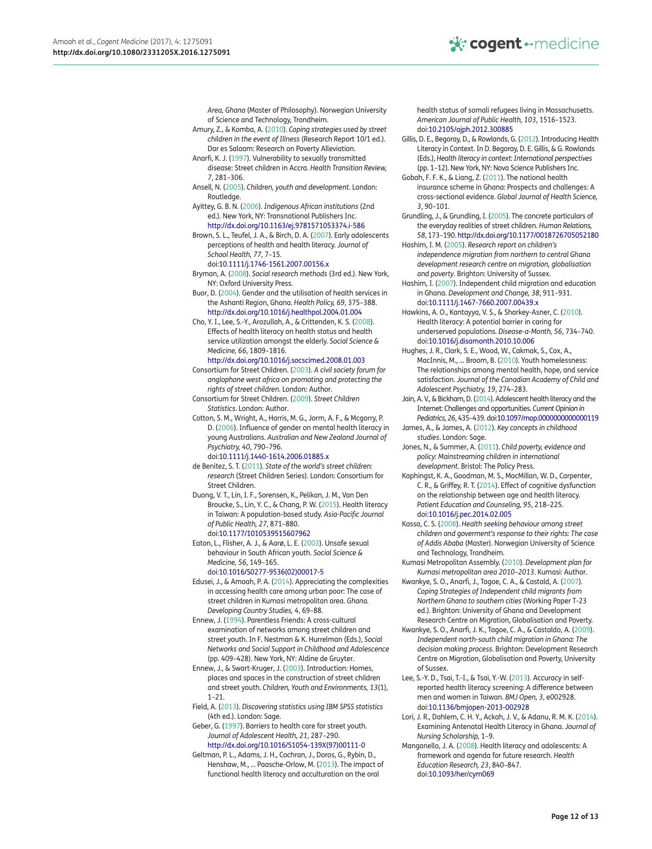*Area, Ghana* (Master of Philosophy). Norwegian University of Science and Technology, Trondheim.

- <span id="page-12-9"></span>Amury, Z., & Komba, A. [\(2010\)](#page-2-2). *Coping strategies used by street children in the event of Illness* (Research Report 10/1 ed.).
- <span id="page-12-8"></span>Dar es Salaam: Research on Poverty Alleviation. Anarfi, K. J. [\(1997\)](#page-2-3). Vulnerability to sexually transmitted disease: Street children in Accra. *Health Transition Review, 7*, 281–306.
- <span id="page-12-3"></span>Ansell, N. ([2005\)](#page-2-4). *Children, youth and development*. London: Routledge.
- <span id="page-12-35"></span>Ayittey, G. B. N. ([2006\)](#page-10-0). *Indigenous African institutions* (2nd ed.). New York, NY: Transnational Publishers Inc. <http://dx.doi.org/10.1163/ej.9781571053374.i-586>
- <span id="page-12-33"></span>Brown, S. L., Teufel, J. A., & Birch, D. A. [\(2007](#page-10-1)). Early adolescents perceptions of health and health literacy. *Journal of School Health, 77*, 7–15.
- <span id="page-12-25"></span>doi:[10.1111/j.1746-1561.2007.00156.x](http://dx.doi.org/10.1111/j.1746-1561.2007.00156.x) Bryman, A. [\(2008](#page-4-0)). *Social research methods* (3rd ed.). New York, NY: Oxford University Press.
- <span id="page-12-36"></span>Buor, D. [\(2004](#page-11-5)). Gender and the utilisation of health service[s](http://dx.doi.org/10.1016/j.healthpol.2004.01.004) in the Ashanti Region, Ghana. *Health Policy, 69*, 375–388. <http://dx.doi.org/10.1016/j.healthpol.2004.01.004>
- <span id="page-12-16"></span>Cho, Y. I., Lee, S.-Y., Arozullah, A., & Crittenden, K. S. [\(2008](#page-3-0)). Effects of health literacy on health status and health service utilization among[s](http://dx.doi.org/10.1016/j.socscimed.2008.01.003)t the elderly. *Social Science & Medicine, 66*, 1809–1816.
	- <http://dx.doi.org/10.1016/j.socscimed.2008.01.003>
- <span id="page-12-23"></span>Consortium for Street Children. ([2003](#page-4-1)). *A civil society forum for anglophone west africa on promoting and protecting the rights of street children*. London: Author.
- <span id="page-12-22"></span>Consortium for Street Children. ([2009](#page-4-2)). *Street Children Statistics*. London: Author.
- <span id="page-12-37"></span>Cotton, S. M., Wright, A., Harris, M. G., Jorm, A. F., & Mcgorry, P. D. ([2006\)](#page-11-6). Influence of gender on mental health literacy in young Australians. *Australian and New Zealand Journal of Psychiatry, 40*, 790–796. doi:[10.1111/j.1440-1614.2006.01885.x](http://dx.doi.org/10.1111/j.1440-1614.2006.01885.x)
- <span id="page-12-4"></span>de Benitez, S. T. [\(2011](#page-2-5)). *State of the world's street children: research* (Street Children Series). London: Consortium for Street Children.
- <span id="page-12-28"></span>Duong, V. T., Lin, I. F., Sorensen, K., Pelikan, J. M., Van Den Broucke, S., Lin, Y. C., & Chang, P. W. [\(2015\)](#page-10-2). Health literacy in Taiwan: A population-based study. *Asia-Pacific Journal of Public Health, 27*, 871–880.
- <span id="page-12-15"></span>doi:[10.1177/1010539515607962](http://dx.doi.org/10.1177/1010539515607962) Eaton, L., Flisher, A. J., & Aarø, L. E. ([2003\)](#page-2-6). Unsafe sexual behaviour in South African youth. *Social Science & Medicine, 56*, 149–165.
	- doi:[10.1016/S0277-9536\(02\)00017-5](http://dx.doi.org/10.1016/S0277-9536(02)00017-5)
- <span id="page-12-14"></span>Edusei, J., & Amoah, P. A. ([2014\)](#page-2-7). Appreciating the complexities in accessing health care among urban poor: The case of street children in Kumasi metropolitan area. *Ghana. Developing Country Studies, 4*, 69–88.
- <span id="page-12-31"></span>Ennew, J. [\(1994\)](#page-10-3). Parentless Friends: A cross-cultural examination of networks among street children and street youth. In F. Nestman & K. Hurrelman (Eds.), *Social Networks and Social Support in Childhood and Adolescence* (pp. 409–428). New York, NY: Aldine de Gruyter.
- <span id="page-12-32"></span>Ennew, J., & Swart-Kruger, J. ([2003](#page-10-4)). Introduction: Homes, places and spaces in the construction of street children and street youth. *Children, Youth and Environments, 13*(1),  $1 - 21$
- <span id="page-12-27"></span>Field, A. [\(2013](#page-5-0)). *Discovering statistics using IBM SPSS statistics* (4th ed.). London: Sage.
- <span id="page-12-11"></span>Geber, G. ([1997\)](#page-2-8). Barriers to health care for stre[e](http://dx.doi.org/10.1016/S1054-139X(97)00111-0)t youth. *Journal of Adolescent Health, 21*, 287–290. [http://dx.doi.org/10.1016/S1054-139X\(97\)00111-0](http://dx.doi.org/10.1016/S1054-139X(97)00111-0)
- <span id="page-12-19"></span>Geltman, P. L., Adams, J. H., Cochran, J., Doros, G., Rybin, D., Henshaw, M., ... Paasche-Orlow, M. [\(2013](#page-3-1)). The impact of functional health literacy and acculturation on the oral

health status of somali refugees living in Massachusetts. *American Journal of Public Health, 103*, 1516–1523. doi:[10.2105/ajph.2012.300885](http://dx.doi.org/10.2105/ajph.2012.300885)

- <span id="page-12-20"></span>Gillis, D. E., Begoray, D., & Rowlands, G. [\(2012](#page-3-2)). Introducing Health Literacy in Context. In D. Begoray, D. E. Gillis, & G. Rowlands (Eds.), *Health literacy in context: International perspectives* (pp. 1–12). New York, NY: Nova Science Publishers Inc.
- <span id="page-12-26"></span>Gobah, F. F. K., & Liang, Z. [\(2011](#page-4-3)). The national health insurance scheme in Ghana: Prospects and challenges: A cross-sectional evidence. *Global Journal of Health Science, 3*, 90–101.
- <span id="page-12-5"></span>Grundling, J., & Grundling, I. ([2005](#page-2-9)). The concrete particulars of the everyday realities of street children. *Human Relations, 58*, 173–190.<http://dx.doi.org/10.1177/0018726705052180>
- <span id="page-12-24"></span>Hashim, I. M. [\(2005](#page-4-4)). *Research report on children's independence migration from northern to central Ghana development research centre on migration, globalisation and poverty*. Brighton: University of Sussex.
- <span id="page-12-12"></span>Hashim, I. [\(2007](#page-2-10)). Independent child migration and education in Ghana. *Development and Change, 38*, 911–931. doi:[10.1111/j.1467-7660.2007.00439.x](http://dx.doi.org/10.1111/j.1467-7660.2007.00439.x)
- <span id="page-12-1"></span>Hawkins, A. O., Kantayya, V. S., & Sharkey-Asner, C. [\(2010](#page-2-11)). Health literacy: A potential barrier in caring for underserved populations. *Disease-a-Month, 56*, 734–740. doi:[10.1016/j.disamonth.2010.10.006](http://dx.doi.org/10.1016/j.disamonth.2010.10.006)
- <span id="page-12-17"></span>Hughes, J. R., Clark, S. E., Wood, W., Cakmak, S., Cox, A., MacInnis, M., ... Broom, B. [\(2010](#page-3-3)). Youth homelessness: The relationships among mental health, hope, and service satisfaction. *Journal of the Canadian Academy of Child and Adolescent Psychiatry, 19*, 274–283.
- <span id="page-12-18"></span>Jain, A. V., & Bickham, D. ([2014\)](#page-3-4). Adolescent health literacy and the Internet: Challenges and opportunities. *Current Opinion in Pediatrics, 26*, 435–439. doi[:10.1097/mop.0000000000000119](http://dx.doi.org/10.1097/mop.0000000000000119)
- <span id="page-12-2"></span>James, A., & James, A. ([2012\)](#page-2-12). *Key concepts in childhood studies*. London: Sage.
- <span id="page-12-7"></span>Jones, N., & Summer, A. ([2011\)](#page-2-13). *Child poverty, evidence and policy: Mainstreaming children in international development*. Bristol: The Policy Press.
- <span id="page-12-30"></span>Kaphingst, K. A., Goodman, M. S., MacMillan, W. D., Carpenter, C. R., & Griffey, R. T. [\(2014](#page-10-5)). Effect of cognitive dysfunction on the relationship between age and health literacy. *Patient Education and Counseling, 95*, 218–225. doi:[10.1016/j.pec.2014.02.005](http://dx.doi.org/10.1016/j.pec.2014.02.005)
- <span id="page-12-10"></span>Kassa, C. S. ([2008](#page-2-14)). *Health seeking behaviour among street children and goverment's response to their rights: The case of Addis Ababa* (Master). Norwegian University of Science and Technology, Trondheim.
- <span id="page-12-6"></span>Kumasi Metropolitan Assembly. [\(2010](#page-2-15)). *Development plan for Kumasi metropolitan area 2010–2013*. Kumasi: Author.
- <span id="page-12-13"></span>Kwankye, S. O., Anarfi, J., Tagoe, C. A., & Castald, A. [\(2007](#page-2-16)). *Coping Strategies of Independent child migrants from Northern Ghana to southern cities* (Working Paper T-23 ed.). Brighton: University of Ghana and Development Research Centre on Migration, Globalisation and Poverty.
- <span id="page-12-34"></span>Kwankye, S. O., Anarfi, J. K., Tagoe, C. A., & Castaldo, A. ([2009\)](#page-10-6). *Independent north-south child migration in Ghana: The decision making process*. Brighton: Development Research Centre on Migration, Globalisation and Poverty, University of Sussex.
- <span id="page-12-29"></span>Lee, S.-Y. D., Tsai, T.-I., & Tsai, Y.-W. [\(2013](#page-10-7)). Accuracy in selfreported health literacy screening: A difference between men and women in Taiwan. *BMJ Open, 3*, e002928. doi:[10.1136/bmjopen-2013-002928](http://dx.doi.org/10.1136/bmjopen-2013-002928)
- <span id="page-12-21"></span>Lori, J. R., Dahlem, C. H. Y., Ackah, J. V., & Adanu, R. M. K. [\(2014](#page-3-5)). Examining Antenatal Health Literacy in Ghana. *Journal of Nursing Scholarship,* 1–9.
- <span id="page-12-0"></span>Manganello, J. A. ([2008\)](#page-2-17). Health literacy and adolescents: A framework and agenda for future research. *Health Education Research, 23*, 840–847. doi:[10.1093/her/cym069](http://dx.doi.org/10.1093/her/cym069)